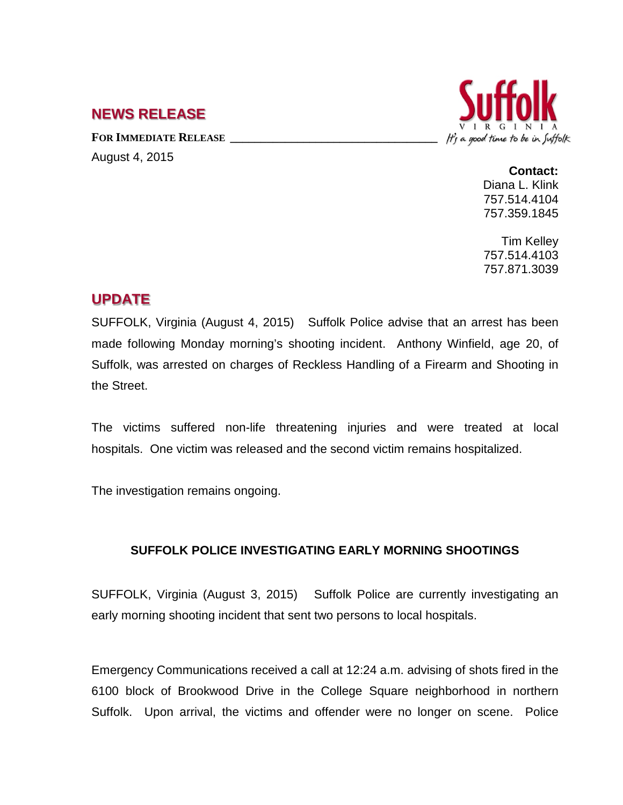## **NEWS RELEASE**

FOR **IMMEDIATE RELEASE** August 4, 2015



## **Contact:**

Diana L. Klink 757.514.4104 757.359.1845

Tim Kelley 757.514.4103 757.871.3039

## **UPDATE**

SUFFOLK, Virginia (August 4, 2015) Suffolk Police advise that an arrest has been made following Monday morning's shooting incident. Anthony Winfield, age 20, of Suffolk, was arrested on charges of Reckless Handling of a Firearm and Shooting in the Street.

The victims suffered non-life threatening injuries and were treated at local hospitals. One victim was released and the second victim remains hospitalized.

The investigation remains ongoing.

## **SUFFOLK POLICE INVESTIGATING EARLY MORNING SHOOTINGS**

SUFFOLK, Virginia (August 3, 2015) Suffolk Police are currently investigating an early morning shooting incident that sent two persons to local hospitals.

Emergency Communications received a call at 12:24 a.m. advising of shots fired in the 6100 block of Brookwood Drive in the College Square neighborhood in northern Suffolk. Upon arrival, the victims and offender were no longer on scene. Police